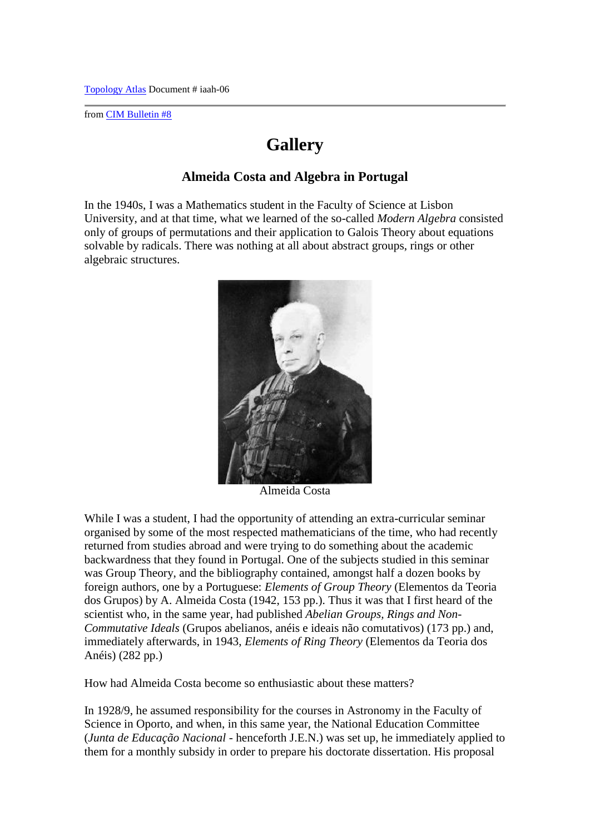from [CIM Bulletin #8](http://at.yorku.ca/i/a/a/h/00.htm)

## **Gallery**

## **Almeida Costa and Algebra in Portugal**

In the 1940s, I was a Mathematics student in the Faculty of Science at Lisbon University, and at that time, what we learned of the so-called *Modern Algebra* consisted only of groups of permutations and their application to Galois Theory about equations solvable by radicals. There was nothing at all about abstract groups, rings or other algebraic structures.



Almeida Costa

While I was a student, I had the opportunity of attending an extra-curricular seminar organised by some of the most respected mathematicians of the time, who had recently returned from studies abroad and were trying to do something about the academic backwardness that they found in Portugal. One of the subjects studied in this seminar was Group Theory, and the bibliography contained, amongst half a dozen books by foreign authors, one by a Portuguese: *Elements of Group Theory* (Elementos da Teoria dos Grupos) by A. Almeida Costa (1942, 153 pp.). Thus it was that I first heard of the scientist who, in the same year, had published *Abelian Groups, Rings and Non-Commutative Ideals* (Grupos abelianos, anéis e ideais não comutativos) (173 pp.) and, immediately afterwards, in 1943, *Elements of Ring Theory* (Elementos da Teoria dos Anéis) (282 pp.)

How had Almeida Costa become so enthusiastic about these matters?

In 1928/9, he assumed responsibility for the courses in Astronomy in the Faculty of Science in Oporto, and when, in this same year, the National Education Committee (*Junta de Educação Nacional* - henceforth J.E.N.) was set up, he immediately applied to them for a monthly subsidy in order to prepare his doctorate dissertation. His proposal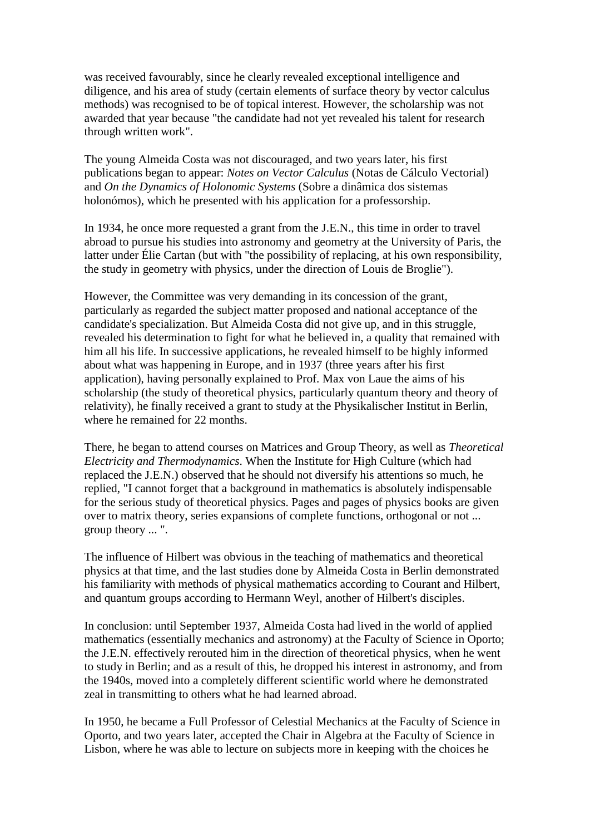was received favourably, since he clearly revealed exceptional intelligence and diligence, and his area of study (certain elements of surface theory by vector calculus methods) was recognised to be of topical interest. However, the scholarship was not awarded that year because "the candidate had not yet revealed his talent for research through written work".

The young Almeida Costa was not discouraged, and two years later, his first publications began to appear: *Notes on Vector Calculus* (Notas de Cálculo Vectorial) and *On the Dynamics of Holonomic Systems* (Sobre a dinâmica dos sistemas holonómos), which he presented with his application for a professorship.

In 1934, he once more requested a grant from the J.E.N., this time in order to travel abroad to pursue his studies into astronomy and geometry at the University of Paris, the latter under Élie Cartan (but with "the possibility of replacing, at his own responsibility, the study in geometry with physics, under the direction of Louis de Broglie").

However, the Committee was very demanding in its concession of the grant, particularly as regarded the subject matter proposed and national acceptance of the candidate's specialization. But Almeida Costa did not give up, and in this struggle, revealed his determination to fight for what he believed in, a quality that remained with him all his life. In successive applications, he revealed himself to be highly informed about what was happening in Europe, and in 1937 (three years after his first application), having personally explained to Prof. Max von Laue the aims of his scholarship (the study of theoretical physics, particularly quantum theory and theory of relativity), he finally received a grant to study at the Physikalischer Institut in Berlin, where he remained for 22 months.

There, he began to attend courses on Matrices and Group Theory, as well as *Theoretical Electricity and Thermodynamics*. When the Institute for High Culture (which had replaced the J.E.N.) observed that he should not diversify his attentions so much, he replied, "I cannot forget that a background in mathematics is absolutely indispensable for the serious study of theoretical physics. Pages and pages of physics books are given over to matrix theory, series expansions of complete functions, orthogonal or not ... group theory ... ".

The influence of Hilbert was obvious in the teaching of mathematics and theoretical physics at that time, and the last studies done by Almeida Costa in Berlin demonstrated his familiarity with methods of physical mathematics according to Courant and Hilbert, and quantum groups according to Hermann Weyl, another of Hilbert's disciples.

In conclusion: until September 1937, Almeida Costa had lived in the world of applied mathematics (essentially mechanics and astronomy) at the Faculty of Science in Oporto; the J.E.N. effectively rerouted him in the direction of theoretical physics, when he went to study in Berlin; and as a result of this, he dropped his interest in astronomy, and from the 1940s, moved into a completely different scientific world where he demonstrated zeal in transmitting to others what he had learned abroad.

In 1950, he became a Full Professor of Celestial Mechanics at the Faculty of Science in Oporto, and two years later, accepted the Chair in Algebra at the Faculty of Science in Lisbon, where he was able to lecture on subjects more in keeping with the choices he